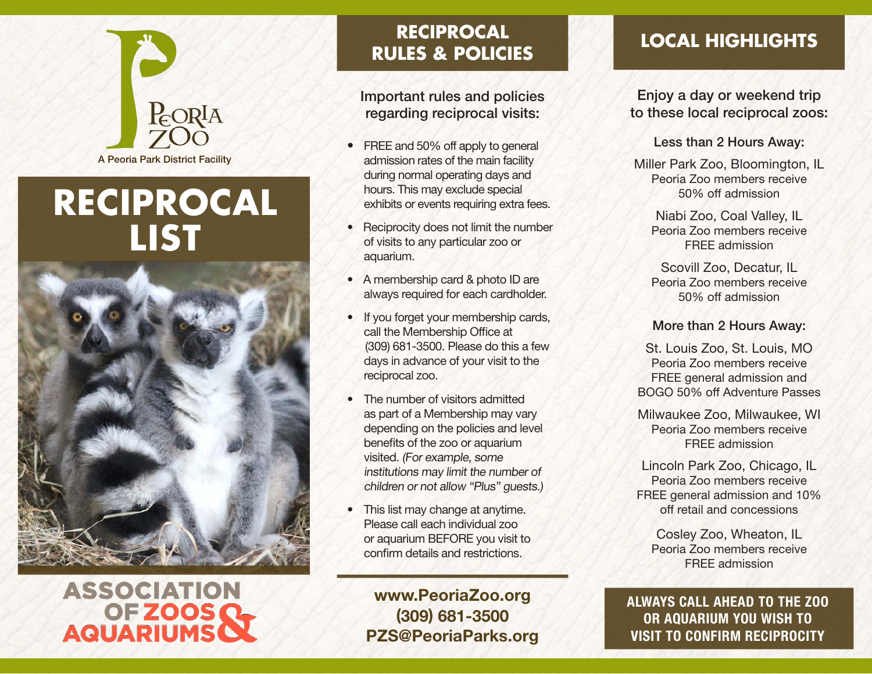

# **RECIPROCAL LIST**



# **ASSOCIATION OFZOOSQ AQUARIUMS**

# **RECIPROCAL RULES & POLICIES**

Important rules and policies regarding reciprocal visits:

- FREE and 50% off apply to general admission rates of the main facility during normal operating days and hours. This may exclude special exhibits or events requiring extra fees.
- Reciprocity does not limit the number of visits to any particular zoo or aquarium.
- A membership card & photo ID are always required for each cardholder.
- If you forget your membership cards, call the Membership Office at (309) 681-3500. Please do this a few days in advance of your visit to the reciprocal zoo.
- The number of visitors admitted as part of a Membership may vary depending on the policies and level benefits of the zoo or aquarium visited. (For example, some institutions may limit the number of children or not allow "Plus" guests.)
- This list may change at anytime. Please call each individual zoo or aquarium BEFORE you visit to confirm details and restrictions.

www.PeoriaZoo.org (309) 681-3500 PZS@PeoriaParks.org

# **LOCAL HIGHLIGHTS**

Enjoy a day or weekend trip to these local reciprocal zoos:

#### Less than 2 Hours Away:

Miller Park Zoo, Bloomington, IL Peoria Zoo members receive 50% off admission

Niabi Zoo, Coal Valley, IL Peoria Zoo members receive FREE admission

Scovill Zoo, Decatur, IL Peoria Zoo members receive 50% off admission

### More than 2 Hours Away:

St. Louis Zoo, St. Louis, MO Peoria Zoo members receive FREE general admission and BOGO 50% off Adventure Passes

Milwaukee Zoo, Milwaukee, WI Peoria Zoo members receive FREE admission

Lincoln Park Zoo, Chicago, IL Peoria Zoo members receive FREE general admission and 10% off retail and concessions

Cosley Zoo, Wheaton, IL Peoria Zoo members receive FREE admission

ALWAYS CALL AHEAD TO THE ZOO OR AQUARIUM YOU WISH TO VISIT TO CONFIRM RECIPROCITY